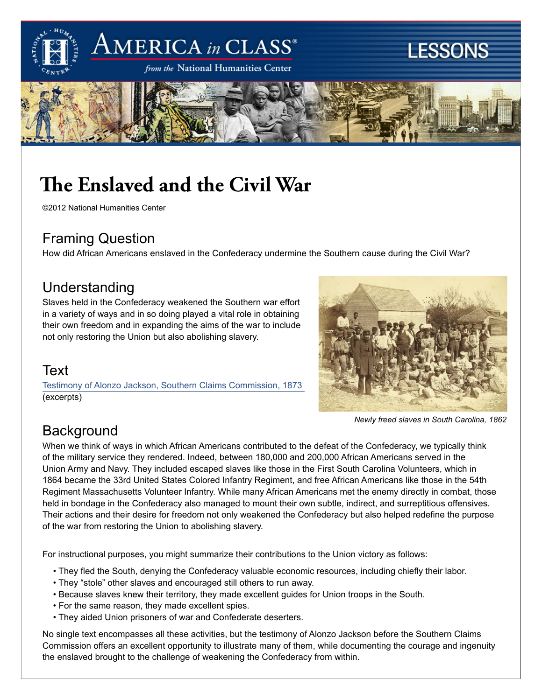

# **The Enslaved and the Civil War**

©2012 National Humanities Center

## Framing Question

How did African Americans enslaved in the Confederacy undermine the Southern cause during the Civil War?

### Understanding

Slaves held in the Confederacy weakened the Southern war effort in a variety of ways and in so doing played a vital role in obtaining their own freedom and in expanding the aims of the war to include not only restoring the Union but also abolishing slavery.

### Text

[Testimony of Alonzo Jackson, Southern Claims Commission, 1873](http://www.freedmen.umd.edu/AJackson.html)  (excerpts)

# **Background**

When we think of ways in which African Americans contributed to the defeat of the Confederacy, we typically think of the military service they rendered. Indeed, between 180,000 and 200,000 African Americans served in the Union Army and Navy. They included escaped slaves like those in the First South Carolina Volunteers, which in 1864 became the 33rd United States Colored Infantry Regiment, and free African Americans like those in the 54th Regiment Massachusetts Volunteer Infantry. While many African Americans met the enemy directly in combat, those held in bondage in the Confederacy also managed to mount their own subtle, indirect, and surreptitious offensives. Their actions and their desire for freedom not only weakened the Confederacy but also helped redefine the purpose of the war from restoring the Union to abolishing slavery.

For instructional purposes, you might summarize their contributions to the Union victory as follows:

- They fled the South, denying the Confederacy valuable economic resources, including chiefly their labor.
- They "stole" other slaves and encouraged still others to run away.
- Because slaves knew their territory, they made excellent guides for Union troops in the South.
- For the same reason, they made excellent spies.
- They aided Union prisoners of war and Confederate deserters.

No single text encompasses all these activities, but the testimony of Alonzo Jackson before the Southern Claims Commission offers an excellent opportunity to illustrate many of them, while documenting the courage and ingenuity the enslaved brought to the challenge of weakening the Confederacy from within.

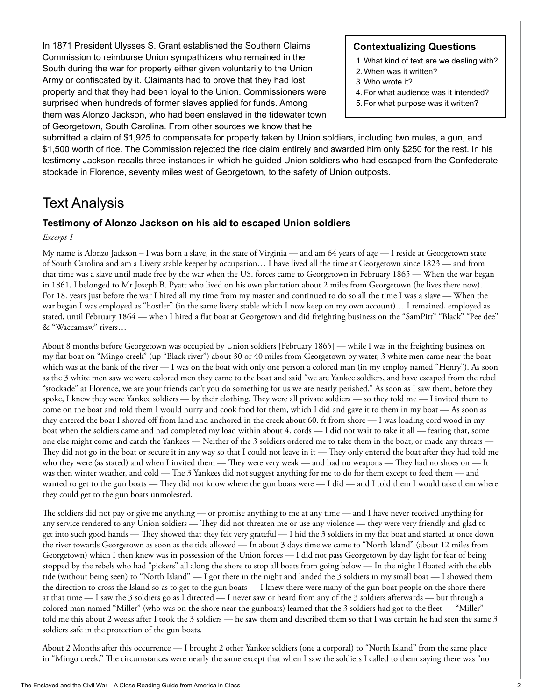In 1871 President Ulysses S. Grant established the Southern Claims Commission to reimburse Union sympathizers who remained in the South during the war for property either given voluntarily to the Union Army or confiscated by it. Claimants had to prove that they had lost property and that they had been loyal to the Union. Commissioners were surprised when hundreds of former slaves applied for funds. Among them was Alonzo Jackson, who had been enslaved in the tidewater town of Georgetown, South Carolina. From other sources we know that he

#### **Contextualizing Questions**

- 1. What kind of text are we dealing with?
- 2. When was it written?
- 3. Who wrote it?
- 4. For what audience was it intended?
- 5. For what purpose was it written?

submitted a claim of \$1,925 to compensate for property taken by Union soldiers, including two mules, a gun, and \$1,500 worth of rice. The Commission rejected the rice claim entirely and awarded him only \$250 for the rest. In his testimony Jackson recalls three instances in which he guided Union soldiers who had escaped from the Confederate stockade in Florence, seventy miles west of Georgetown, to the safety of Union outposts.

### Text Analysis

#### **Testimony of Alonzo Jackson on his aid to escaped Union soldiers**

*Excerpt 1*

My name is Alonzo Jackson – I was born a slave, in the state of Virginia — and am 64 years of age — I reside at Georgetown state of South Carolina and am a Livery stable keeper by occupation… I have lived all the time at Georgetown since 1823 — and from that time was a slave until made free by the war when the US. forces came to Georgetown in February 1865 — When the war began in 1861, I belonged to Mr Joseph B. Pyatt who lived on his own plantation about 2 miles from Georgetown (he lives there now). For 18. years just before the war I hired all my time from my master and continued to do so all the time I was a slave — When the war began I was employed as "hostler" (in the same livery stable which I now keep on my own account)… I remained, employed as stated, until February 1864 — when I hired a flat boat at Georgetown and did freighting business on the "SamPitt" "Black" "Pee dee" & "Waccamaw" rivers…

About 8 months before Georgetown was occupied by Union soldiers [February 1865] — while I was in the freighting business on my flat boat on "Mingo creek" (up "Black river") about 30 or 40 miles from Georgetown by water, 3 white men came near the boat which was at the bank of the river — I was on the boat with only one person a colored man (in my employ named "Henry"). As soon as the 3 white men saw we were colored men they came to the boat and said "we are Yankee soldiers, and have escaped from the rebel "stockade" at Florence, we are your friends can't you do something for us we are nearly perished." As soon as I saw them, before they spoke, I knew they were Yankee soldiers — by their clothing. They were all private soldiers — so they told me — I invited them to come on the boat and told them I would hurry and cook food for them, which I did and gave it to them in my boat — As soon as they entered the boat I shoved off from land and anchored in the creek about 60. ft from shore — I was loading cord wood in my boat when the soldiers came and had completed my load within about 4. cords — I did not wait to take it all — fearing that, some one else might come and catch the Yankees — Neither of the 3 soldiers ordered me to take them in the boat, or made any threats — They did not go in the boat or secure it in any way so that I could not leave in it — They only entered the boat after they had told me who they were (as stated) and when I invited them — They were very weak — and had no weapons — They had no shoes on — It was then winter weather, and cold — The 3 Yankees did not suggest anything for me to do for them except to feed them — and wanted to get to the gun boats — They did not know where the gun boats were — I did — and I told them I would take them where they could get to the gun boats unmolested.

The soldiers did not pay or give me anything — or promise anything to me at any time — and I have never received anything for any service rendered to any Union soldiers — They did not threaten me or use any violence — they were very friendly and glad to get into such good hands — They showed that they felt very grateful — I hid the 3 soldiers in my flat boat and started at once down the river towards Georgetown as soon as the tide allowed — In about 3 days time we came to "North Island" (about 12 miles from Georgetown) which I then knew was in possession of the Union forces — I did not pass Georgetown by day light for fear of being stopped by the rebels who had "pickets" all along the shore to stop all boats from going below — In the night I floated with the ebb tide (without being seen) to "North Island" — I got there in the night and landed the 3 soldiers in my small boat — I showed them the direction to cross the Island so as to get to the gun boats — I knew there were many of the gun boat people on the shore there at that time — I saw the 3 soldiers go as I directed — I never saw or heard from any of the 3 soldiers afterwards — but through a colored man named "Miller" (who was on the shore near the gunboats) learned that the 3 soldiers had got to the fleet — "Miller" told me this about 2 weeks after I took the 3 soldiers — he saw them and described them so that I was certain he had seen the same 3 soldiers safe in the protection of the gun boats.

About 2 Months after this occurrence — I brought 2 other Yankee soldiers (one a corporal) to "North Island" from the same place in "Mingo creek." The circumstances were nearly the same except that when I saw the soldiers I called to them saying there was "no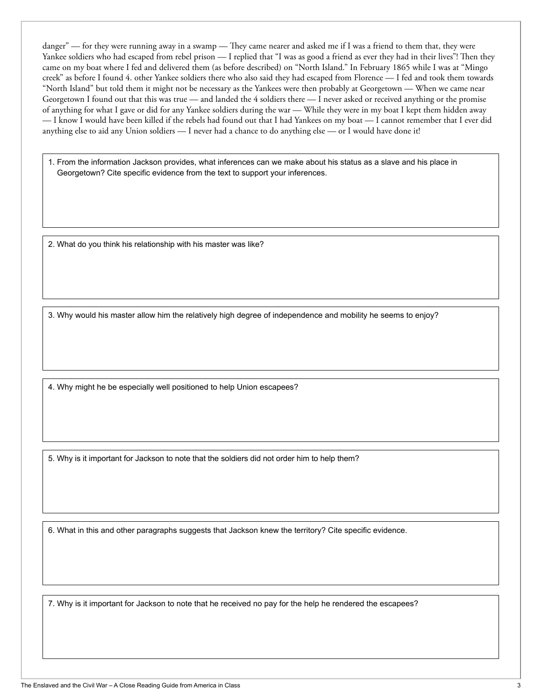danger" — for they were running away in a swamp — They came nearer and asked me if I was a friend to them that, they were Yankee soldiers who had escaped from rebel prison — I replied that "I was as good a friend as ever they had in their lives"! Then they came on my boat where I fed and delivered them (as before described) on "North Island." In February 1865 while I was at "Mingo creek" as before I found 4. other Yankee soldiers there who also said they had escaped from Florence — I fed and took them towards "North Island" but told them it might not be necessary as the Yankees were then probably at Georgetown — When we came near Georgetown I found out that this was true — and landed the 4 soldiers there — I never asked or received anything or the promise of anything for what I gave or did for any Yankee soldiers during the war — While they were in my boat I kept them hidden away — I know I would have been killed if the rebels had found out that I had Yankees on my boat — I cannot remember that I ever did anything else to aid any Union soldiers — I never had a chance to do anything else — or I would have done it!

1. From the information Jackson provides, what inferences can we make about his status as a slave and his place in Georgetown? Cite specific evidence from the text to support your inferences.

2. What do you think his relationship with his master was like?

3. Why would his master allow him the relatively high degree of independence and mobility he seems to enjoy?

4. Why might he be especially well positioned to help Union escapees?

5. Why is it important for Jackson to note that the soldiers did not order him to help them?

6. What in this and other paragraphs suggests that Jackson knew the territory? Cite specific evidence.

7. Why is it important for Jackson to note that he received no pay for the help he rendered the escapees?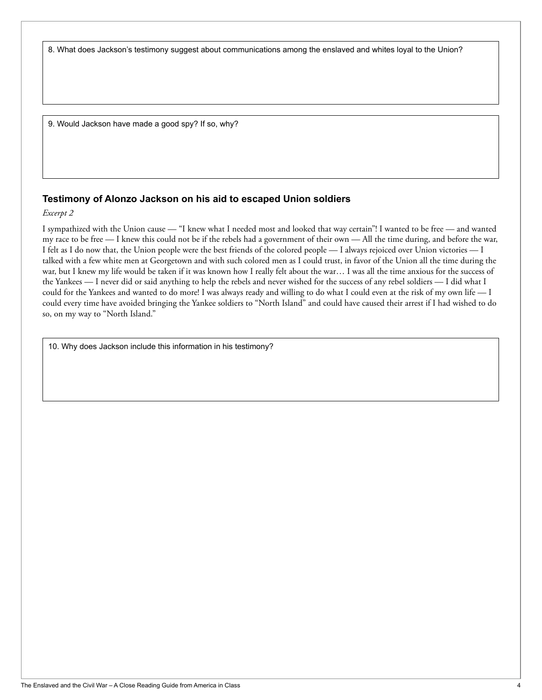8. What does Jackson's testimony suggest about communications among the enslaved and whites loyal to the Union?

9. Would Jackson have made a good spy? If so, why?

### **Testimony of Alonzo Jackson on his aid to escaped Union soldiers**

*Excerpt 2*

I sympathized with the Union cause — "I knew what I needed most and looked that way certain"! I wanted to be free — and wanted my race to be free — I knew this could not be if the rebels had a government of their own — All the time during, and before the war, I felt as I do now that, the Union people were the best friends of the colored people — I always rejoiced over Union victories — I talked with a few white men at Georgetown and with such colored men as I could trust, in favor of the Union all the time during the war, but I knew my life would be taken if it was known how I really felt about the war… I was all the time anxious for the success of the Yankees — I never did or said anything to help the rebels and never wished for the success of any rebel soldiers — I did what I could for the Yankees and wanted to do more! I was always ready and willing to do what I could even at the risk of my own life — I could every time have avoided bringing the Yankee soldiers to "North Island" and could have caused their arrest if I had wished to do so, on my way to "North Island."

10. Why does Jackson include this information in his testimony?